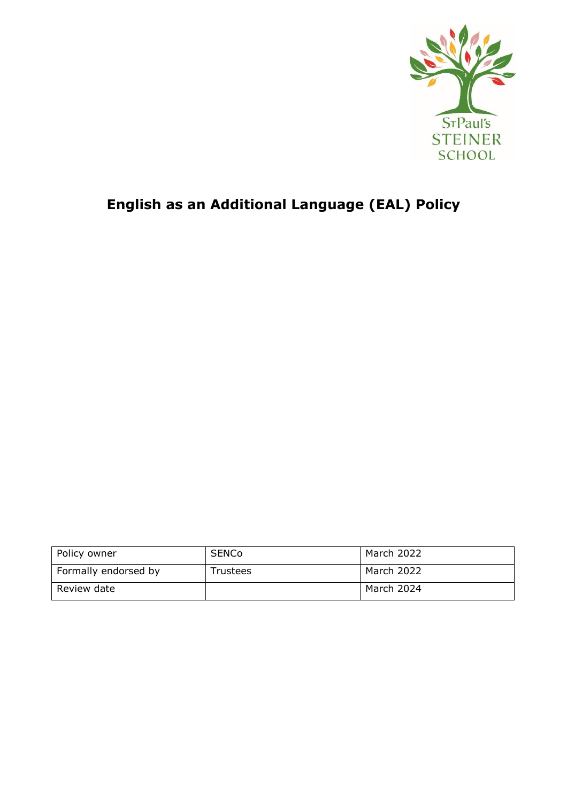

# **English as an Additional Language (EAL) Policy**

| Policy owner         | <b>SENCo</b> | March 2022 |
|----------------------|--------------|------------|
| Formally endorsed by | Trustees     | March 2022 |
| Review date          |              | March 2024 |